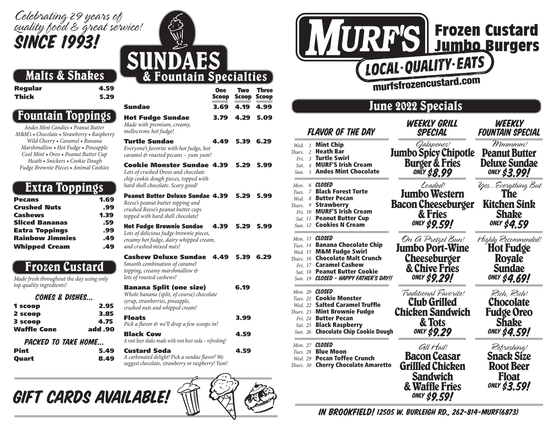## *Celebrating 29 years of quality food & great service!* Since 1993!

## Malts & Shakes

Regular 4.59 Thick 5.29

## Fountain Toppings

Andes Mint Candies • Peanut Butter *M&M's* • *Chocolate* • *Strawberry* • *Raspberry* Wild Cherry • Caramel • Banana Marshmallow • Hot Fudge • Pineapple Cool Mint • Oreo • Peanut Butter Cup Heath • Snickers • Cookie Dough Fudge Brownie Pieces • Animal Cookies

## Extra Toppings

| 1.69 |
|------|
| .99  |
| 1.39 |
| .59  |
| .99  |
| .49  |
| .49  |
|      |

## Frozen Custard

Made fresh throughout the day using only top quality ingredients! CONES O DIBUES

| LUIIES & VISNES |         |
|-----------------|---------|
| 1 scoop         | 2.95    |
| 2 scoop         | 3.85    |
| 3 scoop         | 4.75    |
| Waffle Cone     | add .90 |

#### PACKED TO TAKE HOME...

| Pint  |  |
|-------|--|
| Ouart |  |



|                  | <b>One Two Three</b><br><b>Scoop Scoop Scoop</b> |  |
|------------------|--------------------------------------------------|--|
| Sundae           | 3.69 4.19 4.99                                   |  |
| Hot Fudge Sundae | 3.79 4.29 5.09                                   |  |

Made with premium, creamy, mellocreme hot fudge!

Turtle Sundae 4.49 5.39 6.29 Everyone's favorite with hot fudge, hot caramel & roasted pecans – yum yum!

Cookie Monster Sundae 4.39 5.29 5.99 Lots of crushed Oreos and chocolate chip cookie dough pieces, topped with hard shell chocolate. Scary good!

| <b>Peanut Butter Deluxe Sundae 4.39</b> | 5.29                                                                              | 5.99 |
|-----------------------------------------|-----------------------------------------------------------------------------------|------|
|                                         |                                                                                   |      |
| 4.39                                    | 5.29                                                                              | 5.99 |
|                                         |                                                                                   |      |
|                                         | Lots of delicious fudge brownie pieces,<br>creamy hot fudge, dairy whipped cream, |      |

#### Cashew Deluxe Sundae 4.49 5.39 6.29 Smooth combination of caramel

topping, creamy marshmallow & lots of roasted cashews!

| 2.95         | <b>Banana Split (one size)</b><br>Whole banana (split, of course) chocolate<br>syrup, strawberries, pineapple,<br>crushed nuts and whipped cream! | 6.19 |
|--------------|---------------------------------------------------------------------------------------------------------------------------------------------------|------|
| 3.85<br>4.75 | <b>Floats</b><br>Pick a flavor & we'll drop a few scoops in!                                                                                      | 3.99 |
| d .90        | <b>Black Cow</b><br>A root beer shake made with root beer soda - refreshing!                                                                      | 4.59 |
| 5.49         | <b>Custard Soda</b>                                                                                                                               |      |

A carbonated delight! Pick a sundae flavor! We suggest chocolate, strawberry or raspberry! Yum!





8.49



## June 2022 Specials

|                            | <b>FLAVOR OF THE DAY</b>                                                                                                                                                                                                                      | WEEKLY GRILL<br>SPECIAL                                                                                 | WEEKLY<br><b>FOUNTAIN SPECIAL</b>                                                                |
|----------------------------|-----------------------------------------------------------------------------------------------------------------------------------------------------------------------------------------------------------------------------------------------|---------------------------------------------------------------------------------------------------------|--------------------------------------------------------------------------------------------------|
| Wed. 1<br>Thurs. 2<br>Sun. | <b>Mint Chip</b><br><b>Heath Bar</b><br>Fri. 3 Turtle Swirl<br>Sat. 4 MURF'S Irish Cream<br>5 Andes Mint Chocolate                                                                                                                            | Galapenos!<br><b>Jumbo Spicy Chipotle</b><br><b>Burger &amp; Fries</b><br>oniy \$8.99                   | Mmmmm!<br><b>Peanut Butter</b><br>Deluxe Sundae<br><b>ONLY \$3.99!</b>                           |
| Mon.<br>Tues.<br>Wed. 8    | 6 <b>CLOSED</b><br><b>Black Forest Torte</b><br>$\mathcal{I}$<br><b>Butter Pecan</b><br>Thurs. 9 <b>Strawberry</b><br>Fri. 10 <b>MURF'S Irish Cream</b><br>Sat. 11 Peanut Butter Cup<br>Sun. 12 Cookies N Cream                               | Loaded!<br><b>Jumbo Western</b><br><b>Bacon Cheeseburger</b><br>& Fries<br>ONLY \$9.59!                 | YesEverything But<br>The<br><b>Kitchen Sink</b><br><b>Shake</b><br>only \$4.59                   |
|                            | Mon. 13 <b>CLOSED</b><br>Tues. 14 <b>Banana Chocolate Chip</b><br>Wed. 15 M&M Fudge Swirl<br>Thurs. 16 Chocolate Malt Crunch<br>Fri. 17 <b>Caramel Cashew</b><br>Sat. 18 <b>Peanut Butter Cookie</b><br>Sun. 19 CLOSED - HAPPY FATHER'S DAY!! | On G Pretzel Bun!<br>Jumbo Port-Wine<br>Cheeseburger<br>& Chive Fries<br>only \$9.29!                   | Highly Recommended!<br><b>Hot Fudge</b><br><b>Royale</b><br><b>Sundae</b><br><b>ONLY \$4.69!</b> |
|                            | Mon. 20 <b>CLOSED</b><br>Tues. 21 Cookie Monster<br>Wed. 22 Salted Caramel Truffle<br><b>Thurs. 23 Mint Brownie Fudge</b><br>Fri. 24 Butter Pecan<br>Sat. 25 <b>Black Raspberry</b><br>Sun. 26 Chocolate Chip Cookie Dough                    | Traditional Favorite!<br><b>Club Grilled</b><br><b>Chicken Sandwich</b><br>& Tots<br><b>ONLY \$9.29</b> | Rich, Rich!<br><b>Chocolate</b><br><b>Fudge Oreo</b><br><b>Shake</b><br><b>ONLY \$4.59!</b>      |
|                            | Mon. 27 <b>CLOSED</b><br>Tues. 28 <b>Blue Moon</b><br>Wed. 29 <b>Pecan Toffee Crunch</b><br>Thurs. 30 Cherry Chocolate Amaretto                                                                                                               | Gll Hail!<br>Bacon Ceasar<br>Grillled Chicken<br>Sandwich<br>& Waffle Fries<br>only \$ <b>9.59!</b>     | Refreshing!<br><b>Snack Size</b><br><b>Root Beer</b><br><b>Float</b><br><b>ONLY \$3.59!</b>      |

IN Brookfield! 12505 W. Burleigh Rd., 262-814-MURF(6873)